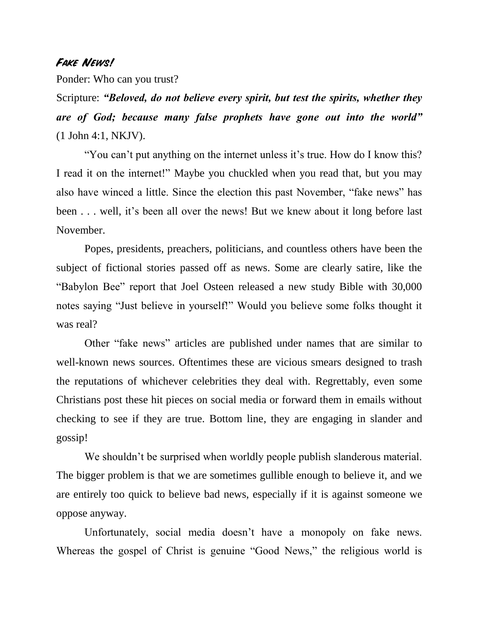## **Fake News!**

Ponder: Who can you trust?

Scripture: *"Beloved, do not believe every spirit, but test the spirits, whether they are of God; because many false prophets have gone out into the world"* (1 John 4:1, NKJV).

"You can't put anything on the internet unless it's true. How do I know this? I read it on the internet!" Maybe you chuckled when you read that, but you may also have winced a little. Since the election this past November, "fake news" has been . . . well, it's been all over the news! But we knew about it long before last November.

Popes, presidents, preachers, politicians, and countless others have been the subject of fictional stories passed off as news. Some are clearly satire, like the "Babylon Bee" report that Joel Osteen released a new study Bible with 30,000 notes saying "Just believe in yourself!" Would you believe some folks thought it was real?

Other "fake news" articles are published under names that are similar to well-known news sources. Oftentimes these are vicious smears designed to trash the reputations of whichever celebrities they deal with. Regrettably, even some Christians post these hit pieces on social media or forward them in emails without checking to see if they are true. Bottom line, they are engaging in slander and gossip!

We shouldn't be surprised when worldly people publish slanderous material. The bigger problem is that we are sometimes gullible enough to believe it, and we are entirely too quick to believe bad news, especially if it is against someone we oppose anyway.

Unfortunately, social media doesn't have a monopoly on fake news. Whereas the gospel of Christ is genuine "Good News," the religious world is